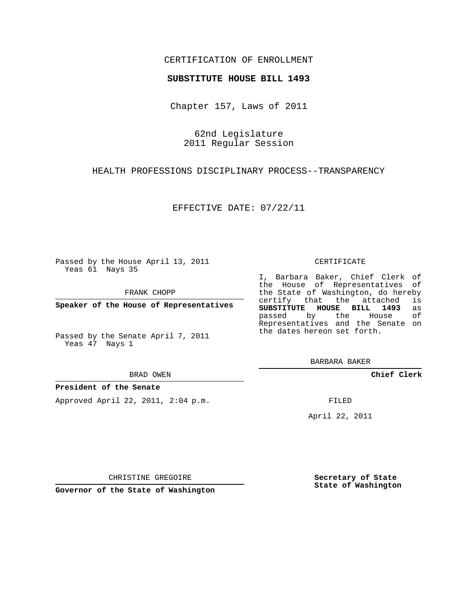# CERTIFICATION OF ENROLLMENT

## **SUBSTITUTE HOUSE BILL 1493**

Chapter 157, Laws of 2011

62nd Legislature 2011 Regular Session

HEALTH PROFESSIONS DISCIPLINARY PROCESS--TRANSPARENCY

EFFECTIVE DATE: 07/22/11

Passed by the House April 13, 2011 Yeas 61 Nays 35

FRANK CHOPP

**Speaker of the House of Representatives**

Passed by the Senate April 7, 2011 Yeas 47 Nays 1

BRAD OWEN

## **President of the Senate**

Approved April 22, 2011, 2:04 p.m.

#### CERTIFICATE

I, Barbara Baker, Chief Clerk of the House of Representatives of the State of Washington, do hereby<br>certify that the attached is certify that the attached **SUBSTITUTE HOUSE BILL 1493** as passed by the House Representatives and the Senate on the dates hereon set forth.

BARBARA BAKER

**Chief Clerk**

FILED

April 22, 2011

CHRISTINE GREGOIRE

**Governor of the State of Washington**

**Secretary of State State of Washington**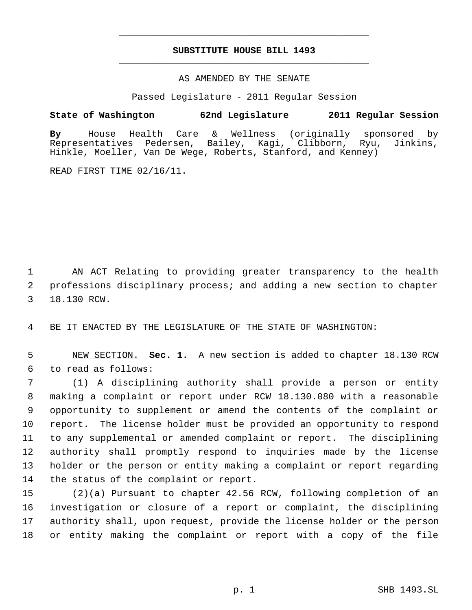# **SUBSTITUTE HOUSE BILL 1493** \_\_\_\_\_\_\_\_\_\_\_\_\_\_\_\_\_\_\_\_\_\_\_\_\_\_\_\_\_\_\_\_\_\_\_\_\_\_\_\_\_\_\_\_\_

\_\_\_\_\_\_\_\_\_\_\_\_\_\_\_\_\_\_\_\_\_\_\_\_\_\_\_\_\_\_\_\_\_\_\_\_\_\_\_\_\_\_\_\_\_

## AS AMENDED BY THE SENATE

Passed Legislature - 2011 Regular Session

# **State of Washington 62nd Legislature 2011 Regular Session**

**By** House Health Care & Wellness (originally sponsored by Bailey, Kagi, Clibborn, Ryu, Jinkins, Hinkle, Moeller, Van De Wege, Roberts, Stanford, and Kenney)

READ FIRST TIME 02/16/11.

 AN ACT Relating to providing greater transparency to the health professions disciplinary process; and adding a new section to chapter 18.130 RCW.

BE IT ENACTED BY THE LEGISLATURE OF THE STATE OF WASHINGTON:

 NEW SECTION. **Sec. 1.** A new section is added to chapter 18.130 RCW to read as follows:

 (1) A disciplining authority shall provide a person or entity making a complaint or report under RCW 18.130.080 with a reasonable opportunity to supplement or amend the contents of the complaint or report. The license holder must be provided an opportunity to respond to any supplemental or amended complaint or report. The disciplining authority shall promptly respond to inquiries made by the license holder or the person or entity making a complaint or report regarding the status of the complaint or report.

 (2)(a) Pursuant to chapter 42.56 RCW, following completion of an investigation or closure of a report or complaint, the disciplining authority shall, upon request, provide the license holder or the person or entity making the complaint or report with a copy of the file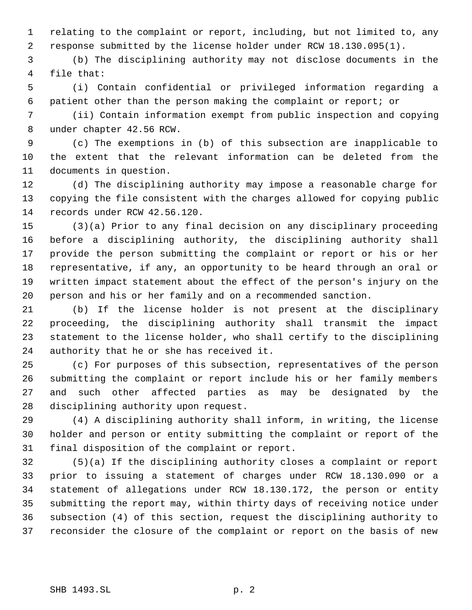relating to the complaint or report, including, but not limited to, any response submitted by the license holder under RCW 18.130.095(1).

 (b) The disciplining authority may not disclose documents in the file that:

 (i) Contain confidential or privileged information regarding a patient other than the person making the complaint or report; or

 (ii) Contain information exempt from public inspection and copying under chapter 42.56 RCW.

 (c) The exemptions in (b) of this subsection are inapplicable to the extent that the relevant information can be deleted from the documents in question.

 (d) The disciplining authority may impose a reasonable charge for copying the file consistent with the charges allowed for copying public records under RCW 42.56.120.

 (3)(a) Prior to any final decision on any disciplinary proceeding before a disciplining authority, the disciplining authority shall provide the person submitting the complaint or report or his or her representative, if any, an opportunity to be heard through an oral or written impact statement about the effect of the person's injury on the person and his or her family and on a recommended sanction.

 (b) If the license holder is not present at the disciplinary proceeding, the disciplining authority shall transmit the impact statement to the license holder, who shall certify to the disciplining authority that he or she has received it.

 (c) For purposes of this subsection, representatives of the person submitting the complaint or report include his or her family members and such other affected parties as may be designated by the disciplining authority upon request.

 (4) A disciplining authority shall inform, in writing, the license holder and person or entity submitting the complaint or report of the final disposition of the complaint or report.

 (5)(a) If the disciplining authority closes a complaint or report prior to issuing a statement of charges under RCW 18.130.090 or a statement of allegations under RCW 18.130.172, the person or entity submitting the report may, within thirty days of receiving notice under subsection (4) of this section, request the disciplining authority to reconsider the closure of the complaint or report on the basis of new